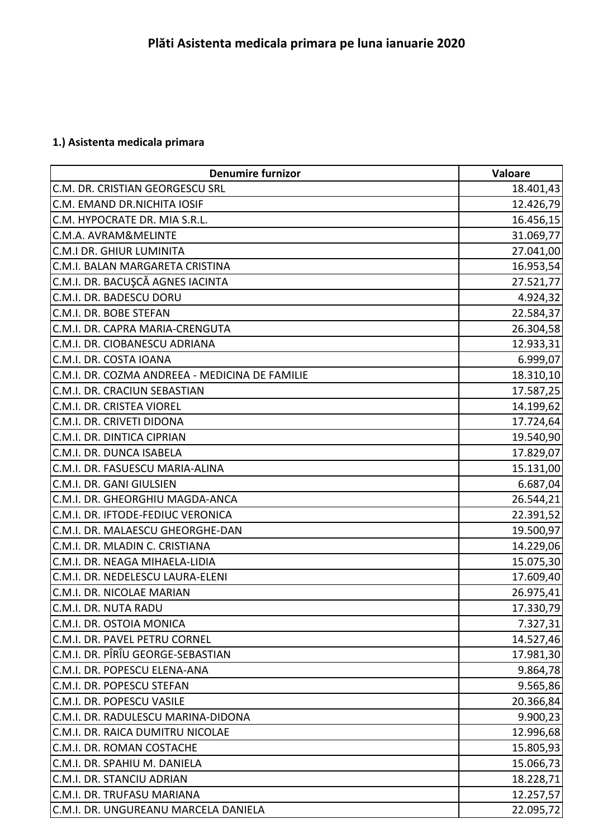## **1.) Asistenta medicala primara**

| <b>Denumire furnizor</b>                       | Valoare   |
|------------------------------------------------|-----------|
| C.M. DR. CRISTIAN GEORGESCU SRL                | 18.401,43 |
| C.M. EMAND DR.NICHITA IOSIF                    | 12.426,79 |
| C.M. HYPOCRATE DR. MIA S.R.L.                  | 16.456,15 |
| C.M.A. AVRAM&MELINTE                           | 31.069,77 |
| C.M.I DR. GHIUR LUMINITA                       | 27.041,00 |
| C.M.I. BALAN MARGARETA CRISTINA                | 16.953,54 |
| C.M.I. DR. BACUŞCĂ AGNES IACINTA               | 27.521,77 |
| C.M.I. DR. BADESCU DORU                        | 4.924,32  |
| C.M.I. DR. BOBE STEFAN                         | 22.584,37 |
| C.M.I. DR. CAPRA MARIA-CRENGUTA                | 26.304,58 |
| C.M.I. DR. CIOBANESCU ADRIANA                  | 12.933,31 |
| C.M.I. DR. COSTA IOANA                         | 6.999,07  |
| C.M.I. DR. COZMA ANDREEA - MEDICINA DE FAMILIE | 18.310,10 |
| C.M.I. DR. CRACIUN SEBASTIAN                   | 17.587,25 |
| C.M.I. DR. CRISTEA VIOREL                      | 14.199,62 |
| C.M.I. DR. CRIVETI DIDONA                      | 17.724,64 |
| C.M.I. DR. DINTICA CIPRIAN                     | 19.540,90 |
| C.M.I. DR. DUNCA ISABELA                       | 17.829,07 |
| C.M.I. DR. FASUESCU MARIA-ALINA                | 15.131,00 |
| C.M.I. DR. GANI GIULSIEN                       | 6.687,04  |
| C.M.I. DR. GHEORGHIU MAGDA-ANCA                | 26.544,21 |
| C.M.I. DR. IFTODE-FEDIUC VERONICA              | 22.391,52 |
| C.M.I. DR. MALAESCU GHEORGHE-DAN               | 19.500,97 |
| C.M.I. DR. MLADIN C. CRISTIANA                 | 14.229,06 |
| C.M.I. DR. NEAGA MIHAELA-LIDIA                 | 15.075,30 |
| C.M.I. DR. NEDELESCU LAURA-ELENI               | 17.609,40 |
| C.M.I. DR. NICOLAE MARIAN                      | 26.975,41 |
| C.M.I. DR. NUTA RADU                           | 17.330,79 |
| C.M.I. DR. OSTOIA MONICA                       | 7.327,31  |
| C.M.I. DR. PAVEL PETRU CORNEL                  | 14.527,46 |
| C.M.I. DR. PÎRÎU GEORGE-SEBASTIAN              | 17.981,30 |
| C.M.I. DR. POPESCU ELENA-ANA                   | 9.864,78  |
| C.M.I. DR. POPESCU STEFAN                      | 9.565,86  |
| C.M.I. DR. POPESCU VASILE                      | 20.366,84 |
| C.M.I. DR. RADULESCU MARINA-DIDONA             | 9.900,23  |
| C.M.I. DR. RAICA DUMITRU NICOLAE               | 12.996,68 |
| C.M.I. DR. ROMAN COSTACHE                      | 15.805,93 |
| C.M.I. DR. SPAHIU M. DANIELA                   | 15.066,73 |
| C.M.I. DR. STANCIU ADRIAN                      | 18.228,71 |
| C.M.I. DR. TRUFASU MARIANA                     | 12.257,57 |
| C.M.I. DR. UNGUREANU MARCELA DANIELA           | 22.095,72 |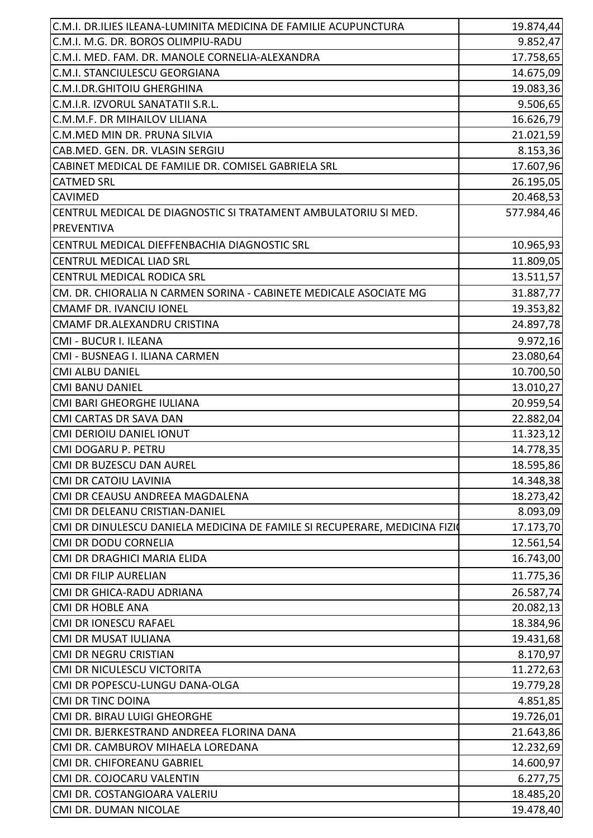| C.M.I. DR.ILIES ILEANA-LUMINITA MEDICINA DE FAMILIE ACUPUNCTURA           | 19.874,44              |
|---------------------------------------------------------------------------|------------------------|
| C.M.I. M.G. DR. BOROS OLIMPIU-RADU                                        | 9.852,47               |
| C.M.I. MED. FAM. DR. MANOLE CORNELIA-ALEXANDRA                            | 17.758,65              |
| C.M.I. STANCIULESCU GEORGIANA                                             | 14.675,09              |
| C.M.I.DR.GHITOIU GHERGHINA                                                | 19.083,36              |
| C.M.I.R. IZVORUL SANATATII S.R.L.                                         | 9.506,65               |
| C.M.M.F. DR MIHAILOV LILIANA                                              | 16.626,79              |
| C.M.MED MIN DR. PRUNA SILVIA                                              | 21.021,59              |
| CAB.MED. GEN. DR. VLASIN SERGIU                                           | 8.153,36               |
| CABINET MEDICAL DE FAMILIE DR. COMISEL GABRIELA SRL                       | 17.607,96              |
| <b>CATMED SRL</b>                                                         | 26.195,05              |
| <b>CAVIMED</b>                                                            | 20.468,53              |
| CENTRUL MEDICAL DE DIAGNOSTIC SI TRATAMENT AMBULATORIU SI MED.            | 577.984,46             |
| <b>PREVENTIVA</b>                                                         |                        |
| CENTRUL MEDICAL DIEFFENBACHIA DIAGNOSTIC SRL                              | 10.965,93              |
| <b>CENTRUL MEDICAL LIAD SRL</b>                                           | 11.809,05              |
| <b>CENTRUL MEDICAL RODICA SRL</b>                                         | 13.511,57              |
| CM. DR. CHIORALIA N CARMEN SORINA - CABINETE MEDICALE ASOCIATE MG         | 31.887,77              |
| <b>CMAMF DR. IVANCIU IONEL</b>                                            | 19.353,82              |
| CMAMF DR.ALEXANDRU CRISTINA                                               | 24.897,78              |
| CMI - BUCUR I. ILEANA                                                     | 9.972,16               |
| CMI - BUSNEAG I. ILIANA CARMEN                                            | 23.080,64              |
| <b>CMI ALBU DANIEL</b>                                                    | 10.700,50              |
| <b>CMI BANU DANIEL</b>                                                    | 13.010,27              |
| CMI BARI GHEORGHE IULIANA                                                 | 20.959,54              |
| <b>CMI CARTAS DR SAVA DAN</b>                                             | 22.882,04              |
| <b>CMI DERIOIU DANIEL IONUT</b>                                           | 11.323,12              |
| CMI DOGARU P. PETRU                                                       | 14.778,35              |
| CMI DR BUZESCU DAN AUREL                                                  | 18.595,86              |
| <b>CMI DR CATOIU LAVINIA</b>                                              | 14.348,38              |
| CMI DR CEAUSU ANDREEA MAGDALENA                                           | 18.273,42              |
| CMI DR DELEANU CRISTIAN-DANIEL                                            | 8.093,09               |
| CMI DR DINULESCU DANIELA MEDICINA DE FAMILE SI RECUPERARE, MEDICINA FIZIO | 17.173,70              |
| <b>CMI DR DODU CORNELIA</b>                                               | 12.561,54              |
| CMI DR DRAGHICI MARIA ELIDA                                               | 16.743,00              |
| <b>CMI DR FILIP AURELIAN</b>                                              | 11.775,36              |
| CMI DR GHICA-RADU ADRIANA                                                 | 26.587,74              |
| <b>CMI DR HOBLE ANA</b>                                                   | 20.082,13              |
| CMI DR IONESCU RAFAEL                                                     | 18.384,96              |
| <b>CMI DR MUSAT IULIANA</b>                                               | 19.431,68              |
| CMI DR NEGRU CRISTIAN                                                     | 8.170,97               |
| CMI DR NICULESCU VICTORITA                                                | 11.272,63              |
| CMI DR POPESCU-LUNGU DANA-OLGA                                            | 19.779,28              |
| <b>CMI DR TINC DOINA</b>                                                  | 4.851,85               |
| CMI DR. BIRAU LUIGI GHEORGHE                                              | 19.726,01              |
| CMI DR. BJERKESTRAND ANDREEA FLORINA DANA                                 |                        |
| CMI DR. CAMBUROV MIHAELA LOREDANA                                         | 21.643,86<br>12.232,69 |
|                                                                           |                        |
| CMI DR. CHIFOREANU GABRIEL<br>CMI DR. COJOCARU VALENTIN                   | 14.600,97              |
| CMI DR. COSTANGIOARA VALERIU                                              | 6.277,75               |
|                                                                           | 18.485,20<br>19.478,40 |
| CMI DR. DUMAN NICOLAE                                                     |                        |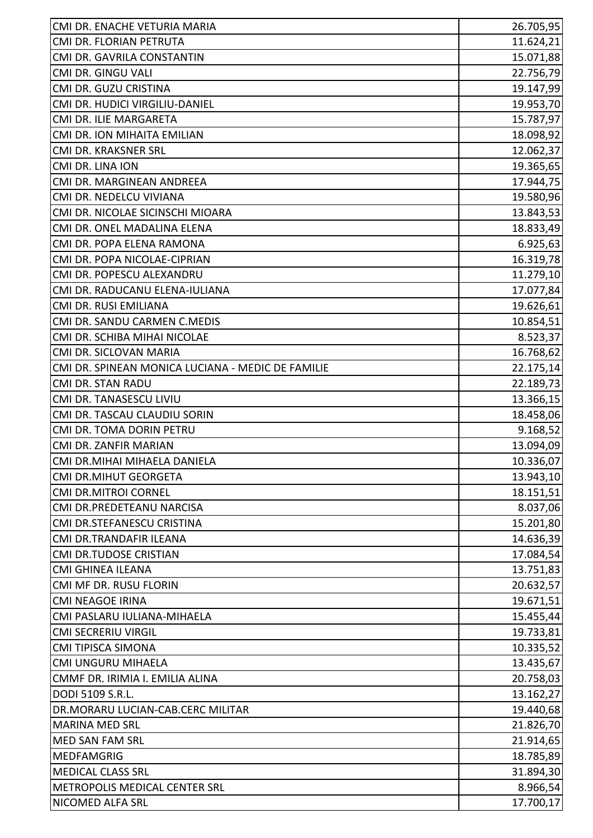| 26.705,95<br>11.624,21<br>CMI DR. FLORIAN PETRUTA<br>15.071,88<br>CMI DR. GAVRILA CONSTANTIN<br>CMI DR. GINGU VALI<br>22.756,79<br>19.147,99<br>CMI DR. GUZU CRISTINA<br>CMI DR. HUDICI VIRGILIU-DANIEL<br>19.953,70<br>CMI DR. ILIE MARGARETA<br>15.787,97<br>18.098,92<br>CMI DR. ION MIHAITA EMILIAN<br>CMI DR. KRAKSNER SRL<br>CMI DR. LINA ION<br>CMI DR. MARGINEAN ANDREEA<br>CMI DR. NEDELCU VIVIANA<br>CMI DR. NICOLAE SICINSCHI MIOARA<br>CMI DR. ONEL MADALINA ELENA<br>CMI DR. POPA ELENA RAMONA<br>CMI DR. POPA NICOLAE-CIPRIAN<br>CMI DR. POPESCU ALEXANDRU<br>CMI DR. RADUCANU ELENA-IULIANA<br>17.077,84<br>CMI DR. RUSI EMILIANA<br>19.626,61<br>CMI DR. SANDU CARMEN C.MEDIS<br>CMI DR. SCHIBA MIHAI NICOLAE |
|-------------------------------------------------------------------------------------------------------------------------------------------------------------------------------------------------------------------------------------------------------------------------------------------------------------------------------------------------------------------------------------------------------------------------------------------------------------------------------------------------------------------------------------------------------------------------------------------------------------------------------------------------------------------------------------------------------------------------------|
|                                                                                                                                                                                                                                                                                                                                                                                                                                                                                                                                                                                                                                                                                                                               |
|                                                                                                                                                                                                                                                                                                                                                                                                                                                                                                                                                                                                                                                                                                                               |
|                                                                                                                                                                                                                                                                                                                                                                                                                                                                                                                                                                                                                                                                                                                               |
|                                                                                                                                                                                                                                                                                                                                                                                                                                                                                                                                                                                                                                                                                                                               |
|                                                                                                                                                                                                                                                                                                                                                                                                                                                                                                                                                                                                                                                                                                                               |
|                                                                                                                                                                                                                                                                                                                                                                                                                                                                                                                                                                                                                                                                                                                               |
| 12.062,37<br>19.365,65<br>17.944,75<br>19.580,96<br>13.843,53<br>18.833,49<br>6.925,63<br>16.319,78<br>11.279,10<br>10.854,51<br>8.523,37                                                                                                                                                                                                                                                                                                                                                                                                                                                                                                                                                                                     |
|                                                                                                                                                                                                                                                                                                                                                                                                                                                                                                                                                                                                                                                                                                                               |
|                                                                                                                                                                                                                                                                                                                                                                                                                                                                                                                                                                                                                                                                                                                               |
|                                                                                                                                                                                                                                                                                                                                                                                                                                                                                                                                                                                                                                                                                                                               |
|                                                                                                                                                                                                                                                                                                                                                                                                                                                                                                                                                                                                                                                                                                                               |
|                                                                                                                                                                                                                                                                                                                                                                                                                                                                                                                                                                                                                                                                                                                               |
|                                                                                                                                                                                                                                                                                                                                                                                                                                                                                                                                                                                                                                                                                                                               |
|                                                                                                                                                                                                                                                                                                                                                                                                                                                                                                                                                                                                                                                                                                                               |
|                                                                                                                                                                                                                                                                                                                                                                                                                                                                                                                                                                                                                                                                                                                               |
|                                                                                                                                                                                                                                                                                                                                                                                                                                                                                                                                                                                                                                                                                                                               |
|                                                                                                                                                                                                                                                                                                                                                                                                                                                                                                                                                                                                                                                                                                                               |
|                                                                                                                                                                                                                                                                                                                                                                                                                                                                                                                                                                                                                                                                                                                               |
|                                                                                                                                                                                                                                                                                                                                                                                                                                                                                                                                                                                                                                                                                                                               |
|                                                                                                                                                                                                                                                                                                                                                                                                                                                                                                                                                                                                                                                                                                                               |
| 16.768,62<br>CMI DR. SICLOVAN MARIA                                                                                                                                                                                                                                                                                                                                                                                                                                                                                                                                                                                                                                                                                           |
| 22.175,14<br>CMI DR. SPINEAN MONICA LUCIANA - MEDIC DE FAMILIE                                                                                                                                                                                                                                                                                                                                                                                                                                                                                                                                                                                                                                                                |
| 22.189,73<br><b>CMI DR. STAN RADU</b>                                                                                                                                                                                                                                                                                                                                                                                                                                                                                                                                                                                                                                                                                         |
| 13.366,15<br>CMI DR. TANASESCU LIVIU                                                                                                                                                                                                                                                                                                                                                                                                                                                                                                                                                                                                                                                                                          |
| CMI DR. TASCAU CLAUDIU SORIN<br>18.458,06                                                                                                                                                                                                                                                                                                                                                                                                                                                                                                                                                                                                                                                                                     |
| 9.168,52<br>CMI DR. TOMA DORIN PETRU                                                                                                                                                                                                                                                                                                                                                                                                                                                                                                                                                                                                                                                                                          |
| 13.094,09<br>CMI DR. ZANFIR MARIAN                                                                                                                                                                                                                                                                                                                                                                                                                                                                                                                                                                                                                                                                                            |
| 10.336,07<br>CMI DR.MIHAI MIHAELA DANIELA                                                                                                                                                                                                                                                                                                                                                                                                                                                                                                                                                                                                                                                                                     |
| 13.943,10<br><b>CMI DR.MIHUT GEORGETA</b>                                                                                                                                                                                                                                                                                                                                                                                                                                                                                                                                                                                                                                                                                     |
| <b>CMI DR.MITROI CORNEL</b><br>18.151,51                                                                                                                                                                                                                                                                                                                                                                                                                                                                                                                                                                                                                                                                                      |
| 8.037,06<br>CMI DR.PREDETEANU NARCISA                                                                                                                                                                                                                                                                                                                                                                                                                                                                                                                                                                                                                                                                                         |
| CMI DR.STEFANESCU CRISTINA<br>15.201,80                                                                                                                                                                                                                                                                                                                                                                                                                                                                                                                                                                                                                                                                                       |
| CMI DR.TRANDAFIR ILEANA<br>14.636,39                                                                                                                                                                                                                                                                                                                                                                                                                                                                                                                                                                                                                                                                                          |
| 17.084,54<br><b>CMI DR.TUDOSE CRISTIAN</b>                                                                                                                                                                                                                                                                                                                                                                                                                                                                                                                                                                                                                                                                                    |
| <b>CMI GHINEA ILEANA</b><br>13.751,83                                                                                                                                                                                                                                                                                                                                                                                                                                                                                                                                                                                                                                                                                         |
| 20.632,57<br>CMI MF DR. RUSU FLORIN                                                                                                                                                                                                                                                                                                                                                                                                                                                                                                                                                                                                                                                                                           |
| 19.671,51<br><b>CMI NEAGOE IRINA</b>                                                                                                                                                                                                                                                                                                                                                                                                                                                                                                                                                                                                                                                                                          |
| CMI PASLARU IULIANA-MIHAELA<br>15.455,44                                                                                                                                                                                                                                                                                                                                                                                                                                                                                                                                                                                                                                                                                      |
| <b>CMI SECRERIU VIRGIL</b><br>19.733,81                                                                                                                                                                                                                                                                                                                                                                                                                                                                                                                                                                                                                                                                                       |
| CMI TIPISCA SIMONA<br>10.335,52                                                                                                                                                                                                                                                                                                                                                                                                                                                                                                                                                                                                                                                                                               |
| 13.435,67<br>CMI UNGURU MIHAELA                                                                                                                                                                                                                                                                                                                                                                                                                                                                                                                                                                                                                                                                                               |
| 20.758,03<br>CMMF DR. IRIMIA I. EMILIA ALINA                                                                                                                                                                                                                                                                                                                                                                                                                                                                                                                                                                                                                                                                                  |
| DODI 5109 S.R.L.<br>13.162,27                                                                                                                                                                                                                                                                                                                                                                                                                                                                                                                                                                                                                                                                                                 |
| 19.440,68<br>DR.MORARU LUCIAN-CAB.CERC MILITAR                                                                                                                                                                                                                                                                                                                                                                                                                                                                                                                                                                                                                                                                                |
| <b>MARINA MED SRL</b><br>21.826,70                                                                                                                                                                                                                                                                                                                                                                                                                                                                                                                                                                                                                                                                                            |
| MED SAN FAM SRL<br>21.914,65                                                                                                                                                                                                                                                                                                                                                                                                                                                                                                                                                                                                                                                                                                  |
| <b>MEDFAMGRIG</b><br>18.785,89                                                                                                                                                                                                                                                                                                                                                                                                                                                                                                                                                                                                                                                                                                |
| <b>MEDICAL CLASS SRL</b><br>31.894,30                                                                                                                                                                                                                                                                                                                                                                                                                                                                                                                                                                                                                                                                                         |
| 8.966,54<br>METROPOLIS MEDICAL CENTER SRL                                                                                                                                                                                                                                                                                                                                                                                                                                                                                                                                                                                                                                                                                     |
| NICOMED ALFA SRL<br>17.700,17                                                                                                                                                                                                                                                                                                                                                                                                                                                                                                                                                                                                                                                                                                 |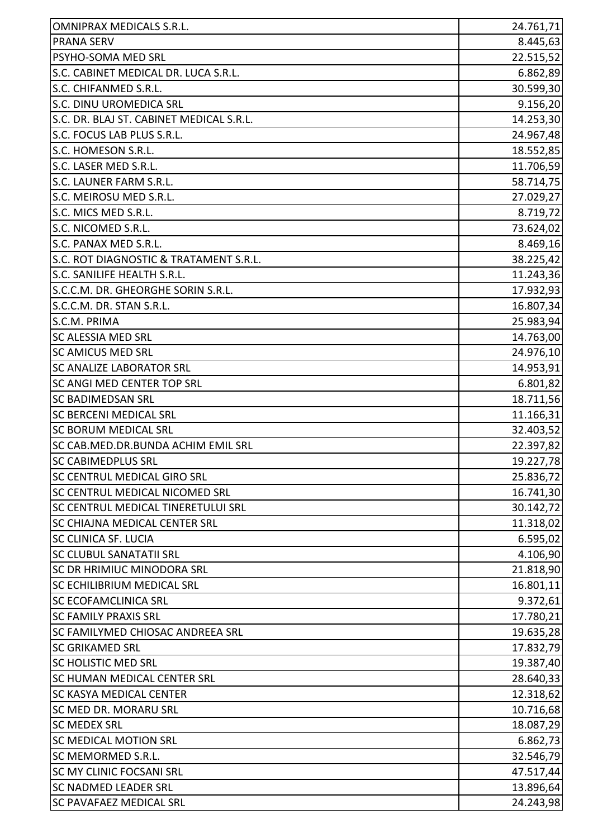| <b>OMNIPRAX MEDICALS S.R.L.</b>          | 24.761,71 |
|------------------------------------------|-----------|
| <b>PRANA SERV</b>                        | 8.445,63  |
| PSYHO-SOMA MED SRL                       | 22.515,52 |
| S.C. CABINET MEDICAL DR. LUCA S.R.L.     | 6.862,89  |
| S.C. CHIFANMED S.R.L.                    | 30.599,30 |
| S.C. DINU UROMEDICA SRL                  | 9.156,20  |
| S.C. DR. BLAJ ST. CABINET MEDICAL S.R.L. | 14.253,30 |
| S.C. FOCUS LAB PLUS S.R.L.               | 24.967,48 |
| S.C. HOMESON S.R.L.                      | 18.552,85 |
| S.C. LASER MED S.R.L.                    | 11.706,59 |
| S.C. LAUNER FARM S.R.L.                  | 58.714,75 |
| S.C. MEIROSU MED S.R.L.                  | 27.029,27 |
| S.C. MICS MED S.R.L.                     | 8.719,72  |
| S.C. NICOMED S.R.L.                      | 73.624,02 |
| S.C. PANAX MED S.R.L.                    | 8.469,16  |
| S.C. ROT DIAGNOSTIC & TRATAMENT S.R.L.   | 38.225,42 |
| S.C. SANILIFE HEALTH S.R.L.              | 11.243,36 |
| S.C.C.M. DR. GHEORGHE SORIN S.R.L.       | 17.932,93 |
| S.C.C.M. DR. STAN S.R.L.                 | 16.807,34 |
| S.C.M. PRIMA                             | 25.983,94 |
| <b>SC ALESSIA MED SRL</b>                | 14.763,00 |
| <b>SC AMICUS MED SRL</b>                 | 24.976,10 |
| <b>SC ANALIZE LABORATOR SRL</b>          | 14.953,91 |
| <b>SC ANGI MED CENTER TOP SRL</b>        | 6.801,82  |
| <b>SC BADIMEDSAN SRL</b>                 | 18.711,56 |
| <b>SC BERCENI MEDICAL SRL</b>            | 11.166,31 |
| <b>SC BORUM MEDICAL SRL</b>              | 32.403,52 |
| SC CAB.MED.DR.BUNDA ACHIM EMIL SRL       | 22.397,82 |
| SC CABIMEDPLUS SRL                       | 19.227,78 |
| SC CENTRUL MEDICAL GIRO SRL              | 25.836,72 |
| SC CENTRUL MEDICAL NICOMED SRL           | 16.741,30 |
| SC CENTRUL MEDICAL TINERETULUI SRL       | 30.142,72 |
| <b>SC CHIAJNA MEDICAL CENTER SRL</b>     | 11.318,02 |
| <b>SC CLINICA SF. LUCIA</b>              | 6.595,02  |
| <b>SC CLUBUL SANATATII SRL</b>           | 4.106,90  |
| SC DR HRIMIUC MINODORA SRL               | 21.818,90 |
| <b>SC ECHILIBRIUM MEDICAL SRL</b>        | 16.801,11 |
| <b>SC ECOFAMCLINICA SRL</b>              | 9.372,61  |
| <b>SC FAMILY PRAXIS SRL</b>              | 17.780,21 |
| <b>SC FAMILYMED CHIOSAC ANDREEA SRL</b>  | 19.635,28 |
| <b>SC GRIKAMED SRL</b>                   | 17.832,79 |
| <b>SC HOLISTIC MED SRL</b>               | 19.387,40 |
| <b>SC HUMAN MEDICAL CENTER SRL</b>       | 28.640,33 |
| <b>SC KASYA MEDICAL CENTER</b>           | 12.318,62 |
| <b>SC MED DR. MORARU SRL</b>             | 10.716,68 |
| <b>SC MEDEX SRL</b>                      | 18.087,29 |
| <b>SC MEDICAL MOTION SRL</b>             | 6.862,73  |
| SC MEMORMED S.R.L.                       | 32.546,79 |
| <b>SC MY CLINIC FOCSANI SRL</b>          | 47.517,44 |
| <b>SC NADMED LEADER SRL</b>              | 13.896,64 |
| <b>SC PAVAFAEZ MEDICAL SRL</b>           | 24.243,98 |